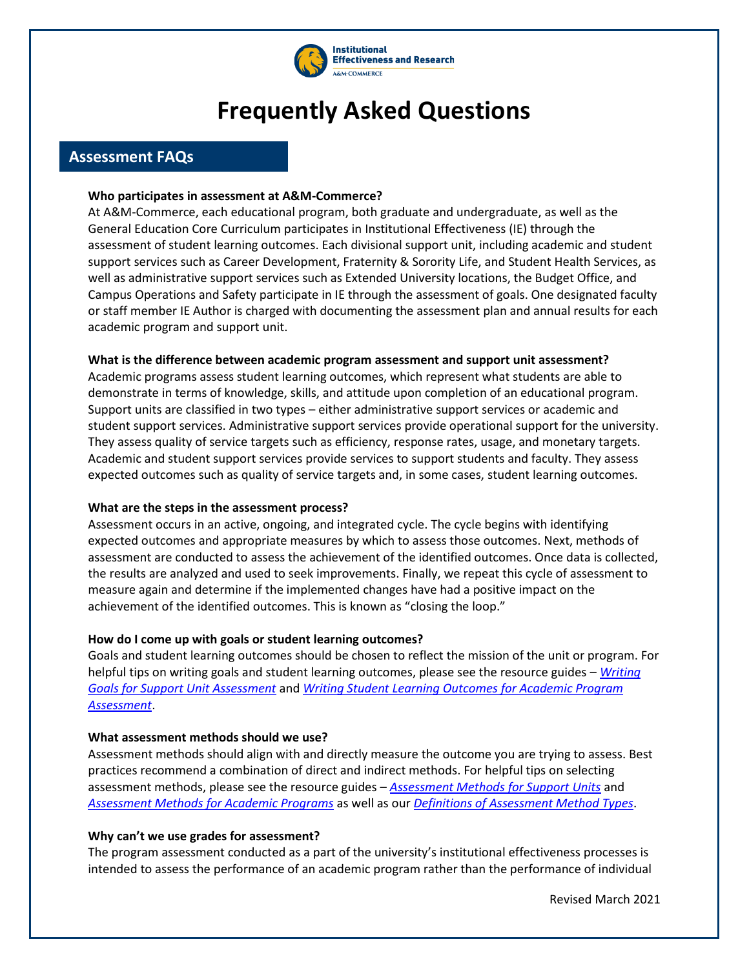

# **Frequently Asked Questions**

# **Assessment FAQs**

## **Who participates in assessment at A&M-Commerce?**

At A&M-Commerce, each educational program, both graduate and undergraduate, as well as the General Education Core Curriculum participates in Institutional Effectiveness (IE) through the assessment of student learning outcomes. Each divisional support unit, including academic and student support services such as Career Development, Fraternity & Sorority Life, and Student Health Services, as well as administrative support services such as Extended University locations, the Budget Office, and Campus Operations and Safety participate in IE through the assessment of goals. One designated faculty or staff member IE Author is charged with documenting the assessment plan and annual results for each academic program and support unit.

## **What is the difference between academic program assessment and support unit assessment?**

Academic programs assess student learning outcomes, which represent what students are able to demonstrate in terms of knowledge, skills, and attitude upon completion of an educational program. Support units are classified in two types – either administrative support services or academic and student support services. Administrative support services provide operational support for the university. They assess quality of service targets such as efficiency, response rates, usage, and monetary targets. Academic and student support services provide services to support students and faculty. They assess expected outcomes such as quality of service targets and, in some cases, student learning outcomes.

## **What are the steps in the assessment process?**

Assessment occurs in an active, ongoing, and integrated cycle. The cycle begins with identifying expected outcomes and appropriate measures by which to assess those outcomes. Next, methods of assessment are conducted to assess the achievement of the identified outcomes. Once data is collected, the results are analyzed and used to seek improvements. Finally, we repeat this cycle of assessment to measure again and determine if the implemented changes have had a positive impact on the achievement of the identified outcomes. This is known as "closing the loop."

## **How do I come up with goals or student learning outcomes?**

Goals and student learning outcomes should be chosen to reflect the mission of the unit or program. For helpful tips on writing goals and student learning outcomes, please see the resource guides – *[Writing](http://www.tamuc.edu/aboutUs/IER_OLD/documents/IE-forms/Goals%20Resource%20for%20Support%20Units.pdf)  [Goals for Support Unit Assessment](http://www.tamuc.edu/aboutUs/IER_OLD/documents/IE-forms/Goals%20Resource%20for%20Support%20Units.pdf)* and *[Writing Student Learning Outcomes for Academic Program](http://www.tamuc.edu/aboutUs/IER_OLD/documents/IE-forms/Student%20Learning%20Outcomes%20for%20Academic%20Programs.pdf)  [Assessment](http://www.tamuc.edu/aboutUs/IER_OLD/documents/IE-forms/Student%20Learning%20Outcomes%20for%20Academic%20Programs.pdf)*.

## **What assessment methods should we use?**

Assessment methods should align with and directly measure the outcome you are trying to assess. Best practices recommend a combination of direct and indirect methods. For helpful tips on selecting assessment methods, please see the resource guides – *[Assessment Methods for Support Units](http://www.tamuc.edu/aboutUs/IER_OLD/documents/IE-forms/Assessment%20Resource%20for%20Support%20Units.pdf)* and *[Assessment Methods for Academic Programs](http://www.tamuc.edu/aboutUs/IER_OLD/documents/IE-forms/Assessment%20Resource%20for%20Academic%20Programs.pdf)* as well as our *[Definitions of Assessment Method Types](http://www.tamuc.edu/aboutUs/IER_OLD/documents/IE-forms/Definitions%20of%20Assessment%20Methods.pdf)*.

## **Why can't we use grades for assessment?**

The program assessment conducted as a part of the university's institutional effectiveness processes is intended to assess the performance of an academic program rather than the performance of individual

Revised March 2021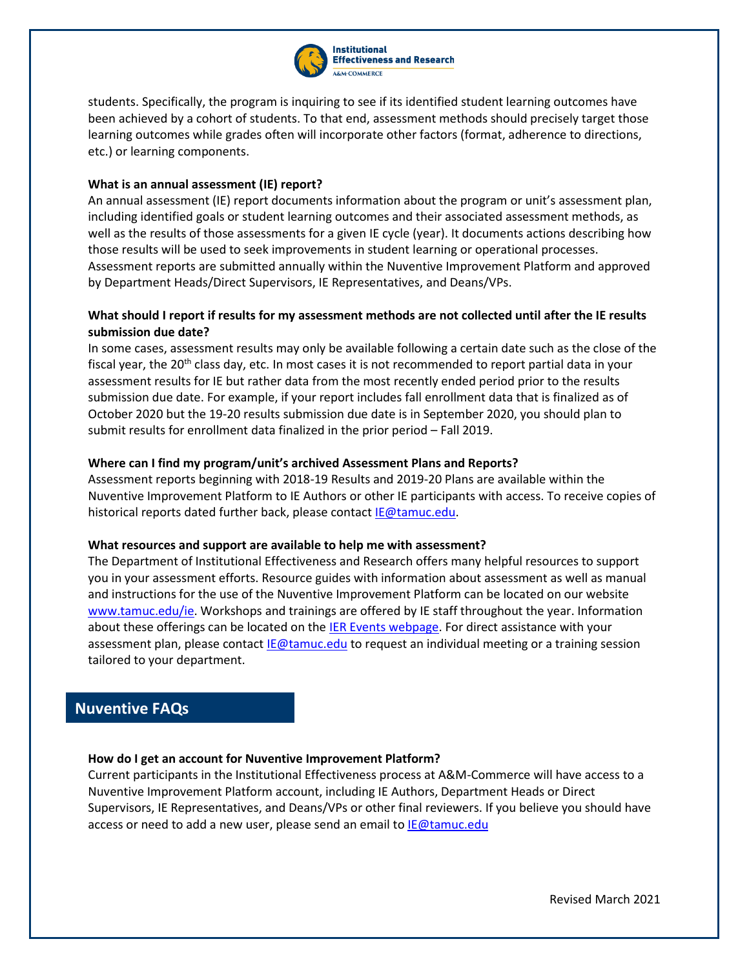

students. Specifically, the program is inquiring to see if its identified student learning outcomes have been achieved by a cohort of students. To that end, assessment methods should precisely target those learning outcomes while grades often will incorporate other factors (format, adherence to directions, etc.) or learning components.

## **What is an annual assessment (IE) report?**

An annual assessment (IE) report documents information about the program or unit's assessment plan, including identified goals or student learning outcomes and their associated assessment methods, as well as the results of those assessments for a given IE cycle (year). It documents actions describing how those results will be used to seek improvements in student learning or operational processes. Assessment reports are submitted annually within the Nuventive Improvement Platform and approved by Department Heads/Direct Supervisors, IE Representatives, and Deans/VPs.

## **What should I report if results for my assessment methods are not collected until after the IE results submission due date?**

In some cases, assessment results may only be available following a certain date such as the close of the fiscal year, the 20<sup>th</sup> class day, etc. In most cases it is not recommended to report partial data in your assessment results for IE but rather data from the most recently ended period prior to the results submission due date. For example, if your report includes fall enrollment data that is finalized as of October 2020 but the 19-20 results submission due date is in September 2020, you should plan to submit results for enrollment data finalized in the prior period – Fall 2019.

## **Where can I find my program/unit's archived Assessment Plans and Reports?**

Assessment reports beginning with 2018-19 Results and 2019-20 Plans are available within the Nuventive Improvement Platform to IE Authors or other IE participants with access. To receive copies of historical reports dated further back, please contac[t IE@tamuc.edu.](mailto:IE@tamuc.edu)

## **What resources and support are available to help me with assessment?**

The Department of Institutional Effectiveness and Research offers many helpful resources to support you in your assessment efforts. Resource guides with information about assessment as well as manual and instructions for the use of the Nuventive Improvement Platform can be located on our website [www.tamuc.edu/ie.](http://www.tamuc.edu/aboutUs/IER/ie/default.aspx) Workshops and trainings are offered by IE staff throughout the year. Information about these offerings can be located on the [IER Events webpage.](http://www.tamuc.edu/aboutUs/IER/ier-events.aspx) For direct assistance with your assessment plan, please contact **IE@tamuc.edu** to request an individual meeting or a training session tailored to your department.

# **Nuventive FAQs**

## **How do I get an account for Nuventive Improvement Platform?**

Current participants in the Institutional Effectiveness process at A&M-Commerce will have access to a Nuventive Improvement Platform account, including IE Authors, Department Heads or Direct Supervisors, IE Representatives, and Deans/VPs or other final reviewers. If you believe you should have access or need to add a new user, please send an email to **IE@tamuc.edu**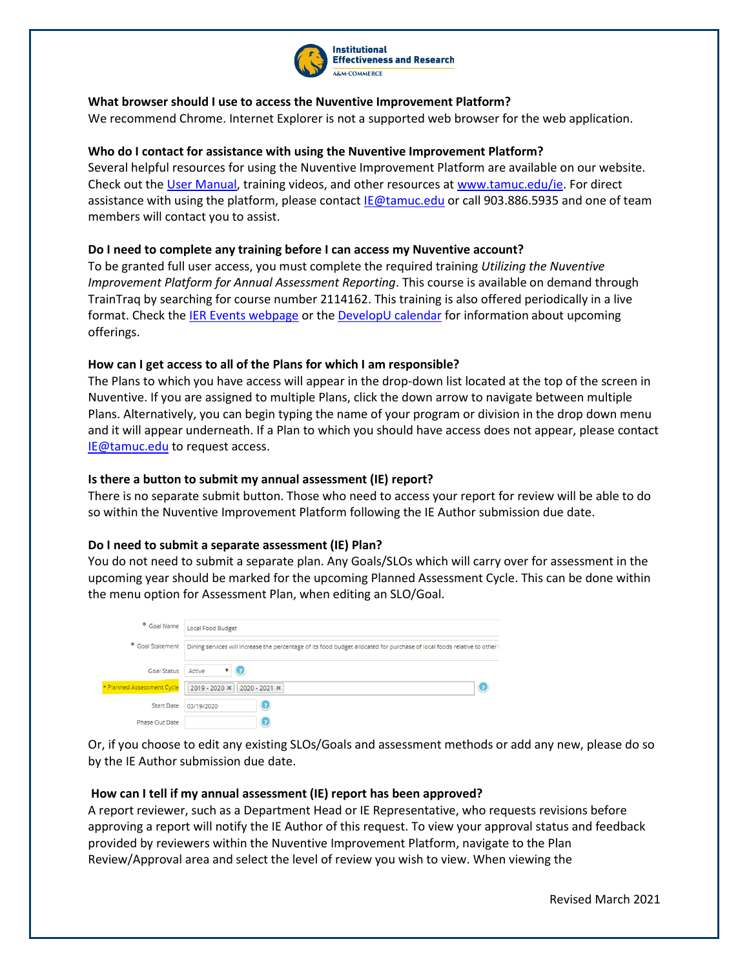

## **What browser should I use to access the Nuventive Improvement Platform?**

We recommend Chrome. Internet Explorer is not a supported web browser for the web application.

## **Who do I contact for assistance with using the Nuventive Improvement Platform?**

Several helpful resources for using the Nuventive Improvement Platform are available on our website. Check out th[e User Manual,](http://www.tamuc.edu/aboutUs/IER/documents/ie-manual/Nuventive%20Improve%20User%20Manual%20June.pdf) training videos, and other resources a[t www.tamuc.edu/ie.](http://www.tamuc.edu/ie) For direct assistance with using the platform, please contac[t IE@tamuc.edu](mailto:IE@tamuc.edu) or call 903.886.5935 and one of team members will contact you to assist.

## **Do I need to complete any training before I can access my Nuventive account?**

To be granted full user access, you must complete the required training *Utilizing the Nuventive Improvement Platform for Annual Assessment Reporting*. This course is available on demand through TrainTraq by searching for course number 2114162. This training is also offered periodically in a live format. Check th[e IER Events webpage](http://www.tamuc.edu/aboutUs/IER/ier-events.aspx) or the [DevelopU calendar](http://appsprod.tamuc.edu/td/coursecalendar.aspx) for information about upcoming offerings.

## **How can I get access to all of the Plans for which I am responsible?**

The Plans to which you have access will appear in the drop-down list located at the top of the screen in Nuventive. If you are assigned to multiple Plans, click the down arrow to navigate between multiple Plans. Alternatively, you can begin typing the name of your program or division in the drop down menu and it will appear underneath. If a Plan to which you should have access does not appear, please contact [IE@tamuc.edu](mailto:IE@tamuc.edu) to request access.

## **Is there a button to submit my annual assessment (IE) report?**

There is no separate submit button. Those who need to access your report for review will be able to do so within the Nuventive Improvement Platform following the IE Author submission due date.

## **Do I need to submit a separate assessment (IE) Plan?**

You do not need to submit a separate plan. Any Goals/SLOs which will carry over for assessment in the upcoming year should be marked for the upcoming Planned Assessment Cycle. This can be done within the menu option for Assessment Plan, when editing an SLO/Goal.

|                            | * Goal Name   Local Food Budget                                                                                           |
|----------------------------|---------------------------------------------------------------------------------------------------------------------------|
| * Goal Statement           | Dining services will increase the percentage of its food budget allocated for purchase of local foods relative to other i |
| Goal Status   Active       | <b>v</b> (2)                                                                                                              |
| * Planned Assessment Cycle | 2019 - 2020 * 2020 - 2021 *<br>7                                                                                          |
| <b>Start Date</b>          | O<br>03/19/2020                                                                                                           |
| Phase Out Date             | O                                                                                                                         |

Or, if you choose to edit any existing SLOs/Goals and assessment methods or add any new, please do so by the IE Author submission due date.

## **How can I tell if my annual assessment (IE) report has been approved?**

A report reviewer, such as a Department Head or IE Representative, who requests revisions before approving a report will notify the IE Author of this request. To view your approval status and feedback provided by reviewers within the Nuventive Improvement Platform, navigate to the Plan Review/Approval area and select the level of review you wish to view. When viewing the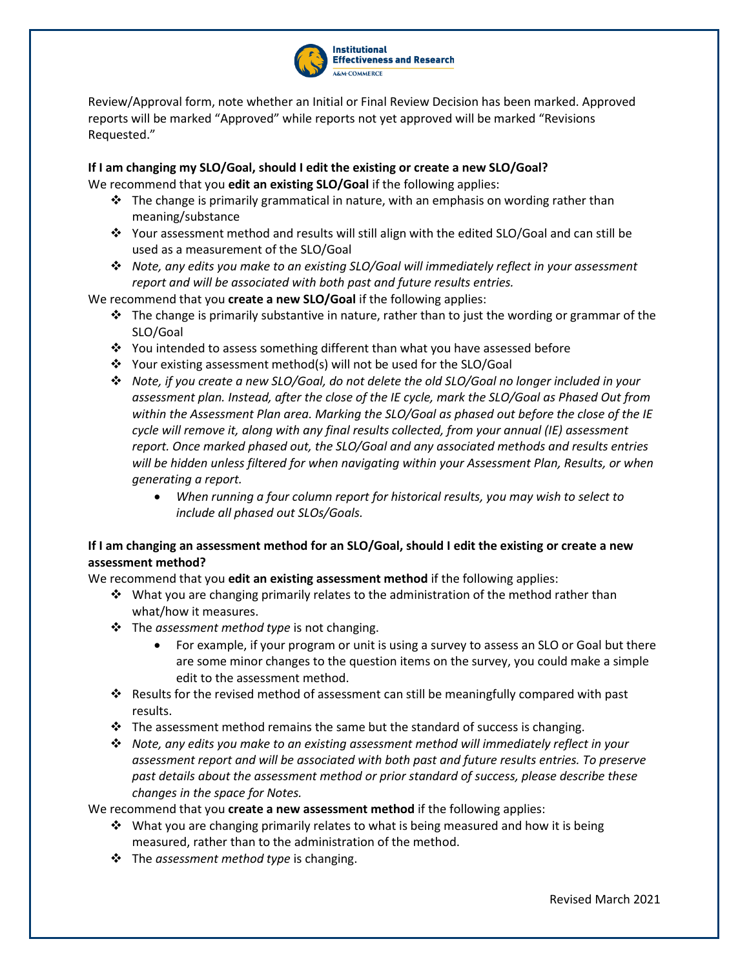

Review/Approval form, note whether an Initial or Final Review Decision has been marked. Approved reports will be marked "Approved" while reports not yet approved will be marked "Revisions Requested."

## **If I am changing my SLO/Goal, should I edit the existing or create a new SLO/Goal?** We recommend that you **edit an existing SLO/Goal** if the following applies:

- $\cdot \cdot$  The change is primarily grammatical in nature, with an emphasis on wording rather than meaning/substance
- $\cdot$  Your assessment method and results will still align with the edited SLO/Goal and can still be used as a measurement of the SLO/Goal
- *Note, any edits you make to an existing SLO/Goal will immediately reflect in your assessment report and will be associated with both past and future results entries.*

We recommend that you **create a new SLO/Goal** if the following applies:

- $\cdot \cdot$  The change is primarily substantive in nature, rather than to just the wording or grammar of the SLO/Goal
- You intended to assess something different than what you have assessed before
- $\cdot \cdot$  Your existing assessment method(s) will not be used for the SLO/Goal
- *Note, if you create a new SLO/Goal, do not delete the old SLO/Goal no longer included in your assessment plan. Instead, after the close of the IE cycle, mark the SLO/Goal as Phased Out from within the Assessment Plan area. Marking the SLO/Goal as phased out before the close of the IE cycle will remove it, along with any final results collected, from your annual (IE) assessment report. Once marked phased out, the SLO/Goal and any associated methods and results entries will be hidden unless filtered for when navigating within your Assessment Plan, Results, or when generating a report.*
	- *When running a four column report for historical results, you may wish to select to include all phased out SLOs/Goals.*

# **If I am changing an assessment method for an SLO/Goal, should I edit the existing or create a new assessment method?**

We recommend that you **edit an existing assessment method** if the following applies:

- $\cdot$  What you are changing primarily relates to the administration of the method rather than what/how it measures.
- The *assessment method type* is not changing.
	- For example, if your program or unit is using a survey to assess an SLO or Goal but there are some minor changes to the question items on the survey, you could make a simple edit to the assessment method.
- Results for the revised method of assessment can still be meaningfully compared with past results.
- $\div$  The assessment method remains the same but the standard of success is changing.
- *Note, any edits you make to an existing assessment method will immediately reflect in your assessment report and will be associated with both past and future results entries. To preserve past details about the assessment method or prior standard of success, please describe these changes in the space for Notes.*

We recommend that you **create a new assessment method** if the following applies:

- $\cdot \cdot$  What you are changing primarily relates to what is being measured and how it is being measured, rather than to the administration of the method.
- The *assessment method type* is changing.